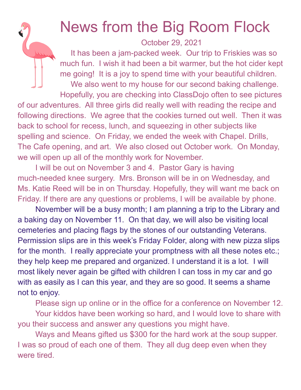## News from the Big Room Flock

October 29, 2021

It has been a jam-packed week. Our trip to Friskies was so much fun. I wish it had been a bit warmer, but the hot cider kept me going! It is a joy to spend time with your beautiful children. We also went to my house for our second baking challenge. Hopefully, you are checking into ClassDojo often to see pictures of our adventures. All three girls did really well with reading the recipe and following directions. We agree that the cookies turned out well. Then it was back to school for recess, lunch, and squeezing in other subjects like spelling and science. On Friday, we ended the week with Chapel. Drills, The Cafe opening, and art. We also closed out October work. On Monday, we will open up all of the monthly work for November.

I will be out on November 3 and 4. Pastor Gary is having much-needed knee surgery. Mrs. Bronson will be in on Wednesday, and Ms. Katie Reed will be in on Thursday. Hopefully, they will want me back on Friday. If there are any questions or problems, I will be available by phone.

November will be a busy month; I am planning a trip to the Library and a baking day on November 11. On that day, we will also be visiting local cemeteries and placing flags by the stones of our outstanding Veterans. Permission slips are in this week's Friday Folder, along with new pizza slips for the month. I really appreciate your promptness with all these notes etc.; they help keep me prepared and organized. I understand it is a lot. I will most likely never again be gifted with children I can toss in my car and go with as easily as I can this year, and they are so good. It seems a shame not to enjoy.

Please sign up online or in the office for a conference on November 12.

Your kiddos have been working so hard, and I would love to share with you their success and answer any questions you might have.

Ways and Means gifted us \$300 for the hard work at the soup supper. I was so proud of each one of them. They all dug deep even when they were tired.